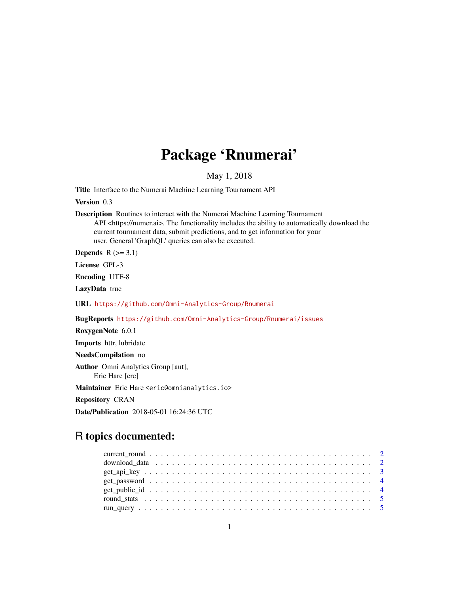## Package 'Rnumerai'

May 1, 2018

Title Interface to the Numerai Machine Learning Tournament API

Version 0.3

Description Routines to interact with the Numerai Machine Learning Tournament API <https://numer.ai>. The functionality includes the ability to automatically download the current tournament data, submit predictions, and to get information for your user. General 'GraphQL' queries can also be executed.

Depends  $R$  ( $>= 3.1$ )

License GPL-3

Encoding UTF-8

LazyData true

URL <https://github.com/Omni-Analytics-Group/Rnumerai>

BugReports <https://github.com/Omni-Analytics-Group/Rnumerai/issues>

RoxygenNote 6.0.1

Imports httr, lubridate

NeedsCompilation no

Author Omni Analytics Group [aut], Eric Hare [cre]

Maintainer Eric Hare <eric@omnianalytics.io>

Repository CRAN

Date/Publication 2018-05-01 16:24:36 UTC

### R topics documented: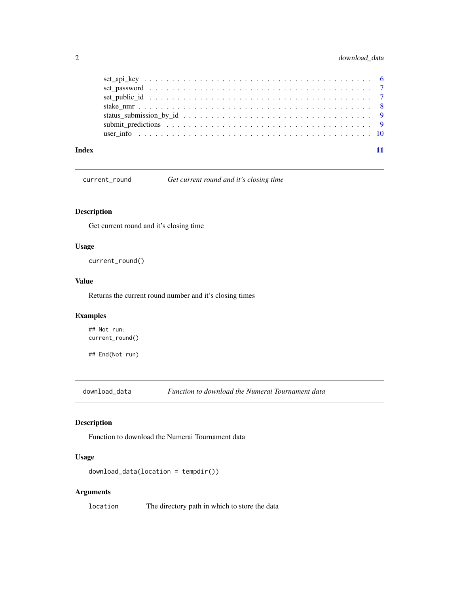#### <span id="page-1-0"></span>2 download\_data

| Index |  |
|-------|--|

current\_round *Get current round and it's closing time*

#### Description

Get current round and it's closing time

#### Usage

current\_round()

#### Value

Returns the current round number and it's closing times

#### Examples

## Not run: current\_round()

## End(Not run)

download\_data *Function to download the Numerai Tournament data*

#### Description

Function to download the Numerai Tournament data

#### Usage

```
download_data(location = tempdir())
```
#### Arguments

location The directory path in which to store the data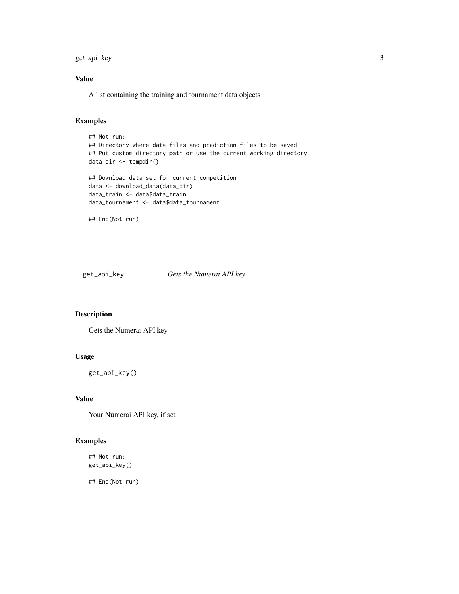<span id="page-2-0"></span>get\_api\_key 3

#### Value

A list containing the training and tournament data objects

#### Examples

```
## Not run:
## Directory where data files and prediction files to be saved
## Put custom directory path or use the current working directory
data_dir <- tempdir()
## Download data set for current competition
data <- download_data(data_dir)
data_train <- data$data_train
data_tournament <- data$data_tournament
```
## End(Not run)

get\_api\_key *Gets the Numerai API key*

#### Description

Gets the Numerai API key

#### Usage

get\_api\_key()

#### Value

Your Numerai API key, if set

#### Examples

## Not run: get\_api\_key()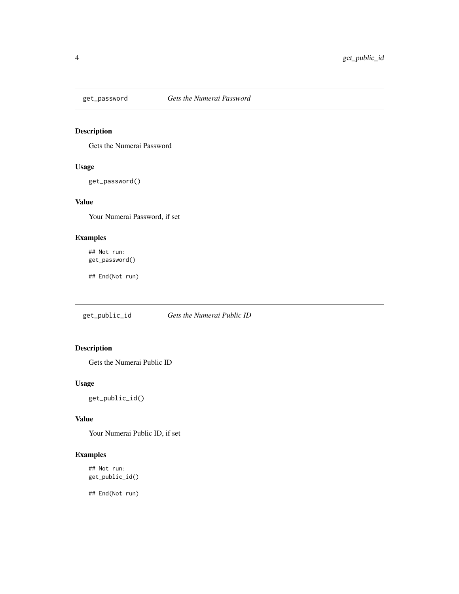<span id="page-3-0"></span>

#### Description

Gets the Numerai Password

#### Usage

get\_password()

#### Value

Your Numerai Password, if set

#### Examples

## Not run: get\_password()

## End(Not run)

get\_public\_id *Gets the Numerai Public ID*

#### Description

Gets the Numerai Public ID

#### Usage

get\_public\_id()

#### Value

Your Numerai Public ID, if set

#### Examples

## Not run: get\_public\_id()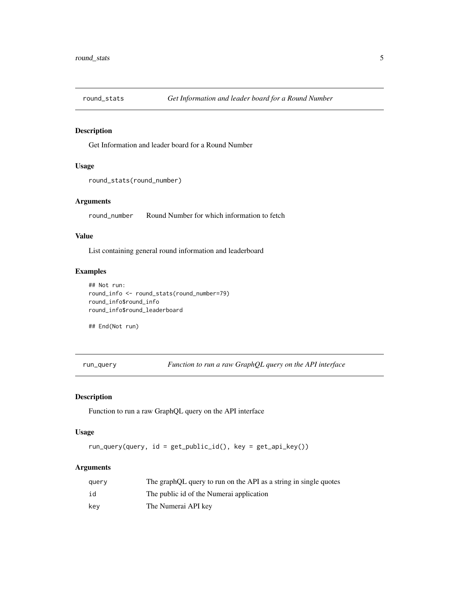<span id="page-4-0"></span>

#### Description

Get Information and leader board for a Round Number

#### Usage

```
round_stats(round_number)
```
#### Arguments

round\_number Round Number for which information to fetch

#### Value

List containing general round information and leaderboard

#### Examples

```
## Not run:
round_info <- round_stats(round_number=79)
round_info$round_info
round_info$round_leaderboard
```
## End(Not run)

run\_query *Function to run a raw GraphQL query on the API interface*

#### Description

Function to run a raw GraphQL query on the API interface

#### Usage

run\_query(query, id = get\_public\_id(), key = get\_api\_key())

#### Arguments

| query | The graphQL query to run on the API as a string in single quotes |
|-------|------------------------------------------------------------------|
| id    | The public id of the Numerai application                         |
| kev   | The Numerai API key                                              |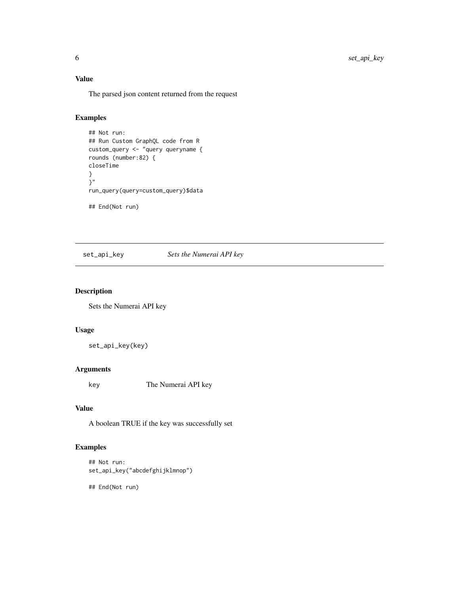#### <span id="page-5-0"></span>Value

The parsed json content returned from the request

#### Examples

## Not run: ## Run Custom GraphQL code from R custom\_query <- "query queryname { rounds (number:82) { closeTime } }" run\_query(query=custom\_query)\$data ## End(Not run)

set\_api\_key *Sets the Numerai API key*

#### Description

Sets the Numerai API key

#### Usage

set\_api\_key(key)

#### Arguments

key The Numerai API key

#### Value

A boolean TRUE if the key was successfully set

#### Examples

## Not run: set\_api\_key("abcdefghijklmnop")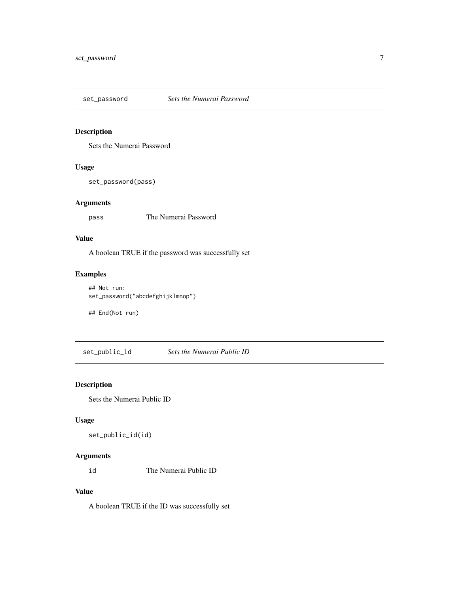<span id="page-6-0"></span>set\_password *Sets the Numerai Password*

#### Description

Sets the Numerai Password

#### Usage

set\_password(pass)

#### Arguments

pass The Numerai Password

#### Value

A boolean TRUE if the password was successfully set

#### Examples

## Not run: set\_password("abcdefghijklmnop")

## End(Not run)

set\_public\_id *Sets the Numerai Public ID*

#### Description

Sets the Numerai Public ID

#### Usage

```
set_public_id(id)
```
#### Arguments

id The Numerai Public ID

#### Value

A boolean TRUE if the ID was successfully set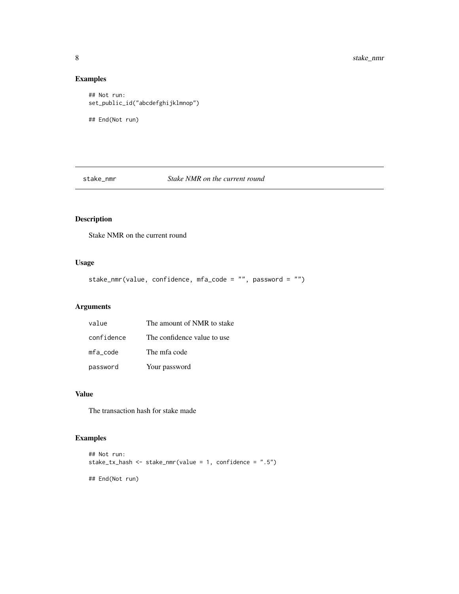#### Examples

```
## Not run:
set_public_id("abcdefghijklmnop")
## End(Not run)
```
stake\_nmr *Stake NMR on the current round*

#### Description

Stake NMR on the current round

#### Usage

stake\_nmr(value, confidence, mfa\_code = "", password = "")

#### Arguments

| value      | The amount of NMR to stake  |
|------------|-----------------------------|
| confidence | The confidence value to use |
| mfa code   | The mfa code                |
| password   | Your password               |

#### Value

The transaction hash for stake made

#### Examples

```
## Not run:
stake_tx_hash <- stake_nmr(value = 1, confidence = ".5")
## End(Not run)
```
<span id="page-7-0"></span>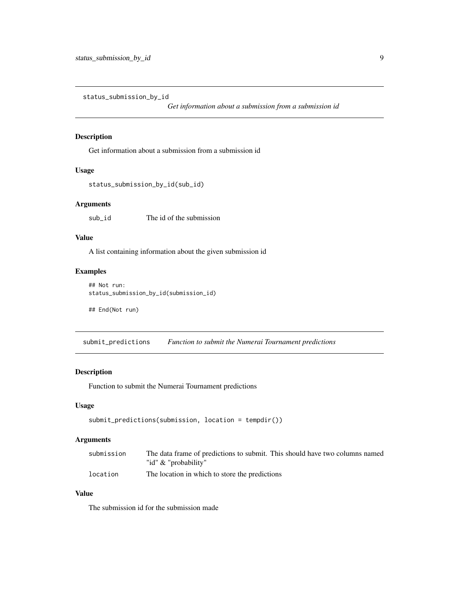<span id="page-8-0"></span>status\_submission\_by\_id

*Get information about a submission from a submission id*

#### Description

Get information about a submission from a submission id

#### Usage

```
status_submission_by_id(sub_id)
```
#### Arguments

sub\_id The id of the submission

#### Value

A list containing information about the given submission id

#### Examples

```
## Not run:
status_submission_by_id(submission_id)
```
## End(Not run)

submit\_predictions *Function to submit the Numerai Tournament predictions*

#### Description

Function to submit the Numerai Tournament predictions

#### Usage

```
submit_predictions(submission, location = tempdir())
```
#### Arguments

| submission | The data frame of predictions to submit. This should have two columns named |  |
|------------|-----------------------------------------------------------------------------|--|
|            | "id" & "probability"                                                        |  |
| location   | The location in which to store the predictions                              |  |

#### Value

The submission id for the submission made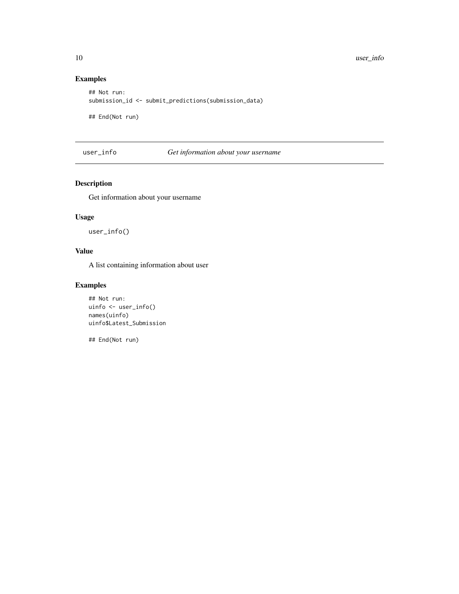#### Examples

```
## Not run:
submission_id <- submit_predictions(submission_data)
```
## End(Not run)

user\_info *Get information about your username*

#### Description

Get information about your username

#### Usage

user\_info()

#### Value

A list containing information about user

#### Examples

```
## Not run:
uinfo <- user_info()
names(uinfo)
uinfo$Latest_Submission
```
<span id="page-9-0"></span>